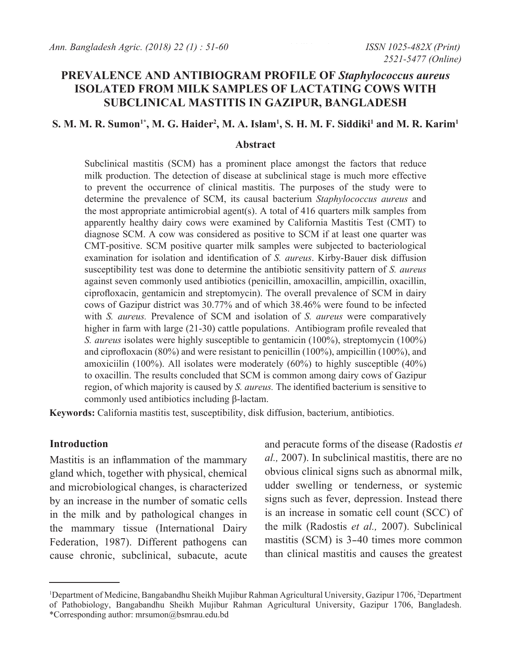# **PREVALENCE AND ANTIBIOGRAM PROFILE OF** *Staphylococcus aureus*  **ISOLATED FROM MILK SAMPLES OF LACTATING COWS WITH SUBCLINICAL MASTITIS IN GAZIPUR, BANGLADESH**

## $\mathbf{S}.$  M. M. R. Sumon<sup>1\*</sup>, M. G. Haider<sup>2</sup>, M. A. Islam<sup>1</sup>, S. H. M. F. Siddiki<sup>1</sup> and M. R. Karim<sup>1</sup>

#### **Abstract**

Subclinical mastitis (SCM) has a prominent place amongst the factors that reduce milk production. The detection of disease at subclinical stage is much more effective to prevent the occurrence of clinical mastitis. The purposes of the study were to determine the prevalence of SCM, its causal bacterium *Staphylococcus aureus* and the most appropriate antimicrobial agent(s). A total of  $416$  quarters milk samples from apparently healthy dairy cows were examined by California Mastitis Test (CMT) to diagnose SCM. A cow was considered as positive to SCM if at least one quarter was CMT-positive. SCM positive quarter milk samples were subjected to bacteriological examination for isolation and identification of *S. aureus*. Kirby-Bauer disk diffusion susceptibility test was done to determine the antibiotic sensitivity pattern of *S. aureus*  against seven commonly used antibiotics (penicillin, amoxacillin, ampicillin, oxacillin, ciprofloxacin, gentamicin and streptomycin). The overall prevalence of SCM in dairy cows of Gazipur district was 30.77% and of which 38.46% were found to be infected with *S. aureus.* Prevalence of SCM and isolation of *S. aureus* were comparatively higher in farm with large (21-30) cattle populations. Antibiogram profile revealed that *S. aureus* isolates were highly susceptible to gentamicin (100%), streptomycin (100%) and ciprofloxacin (80%) and were resistant to penicillin (100%), ampicillin (100%), and amoxiciilin (100%). All isolates were moderately (60%) to highly susceptible (40%) to oxacillin. The results concluded that SCM is common among dairy cows of Gazipur region, of which majority is caused by *S. aureus.* The identified bacterium is sensitive to commonly used antibiotics including β-lactam.

**Keywords:** California mastitis test, susceptibility, disk diffusion, bacterium, antibiotics.

#### **Introduction**

Mastitis is an inflammation of the mammary gland which, together with physical, chemical and microbiological changes, is characterized by an increase in the number of somatic cells in the milk and by pathological changes in the mammary tissue (International Dairy Federation, 1987). Different pathogens can cause chronic, subclinical, subacute, acute

and peracute forms of the disease (Radostis *et al.,* 2007). In subclinical mastitis, there are no obvious clinical signs such as abnormal milk, udder swelling or tenderness, or systemic signs such as fever, depression. Instead there is an increase in somatic cell count (SCC) of the milk (Radostis *et al.,* 2007). Subclinical mastitis (SCM) is 3-40 times more common than clinical mastitis and causes the greatest

<sup>&</sup>lt;sup>1</sup>Department of Medicine, Bangabandhu Sheikh Mujibur Rahman Agricultural University, Gazipur 1706, <sup>2</sup>Department of Pathobiology, Bangabandhu Sheikh Mujibur Rahman Agricultural University, Gazipur 1706, Bangladesh. \*Corresponding author: mrsumon@bsmrau.edu.bd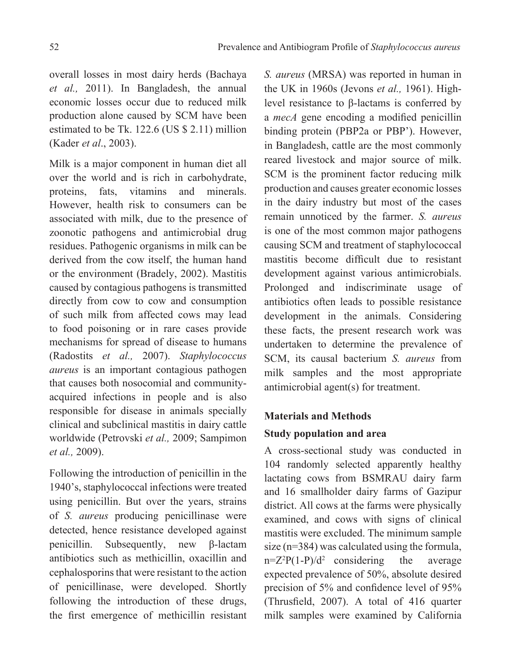overall losses in most dairy herds (Bachaya *et al.,* 2011). In Bangladesh, the annual economic losses occur due to reduced milk production alone caused by SCM have been estimated to be Tk. 122.6 (US \$ 2.11) million (Kader *et al*., 2003).

Milk is a major component in human diet all over the world and is rich in carbohydrate, proteins, fats, vitamins and minerals. However, health risk to consumers can be associated with milk, due to the presence of zoonotic pathogens and antimicrobial drug residues. Pathogenic organisms in milk can be derived from the cow itself, the human hand or the environment (Bradely, 2002). Mastitis caused by contagious pathogens is transmitted directly from cow to cow and consumption of such milk from affected cows may lead to food poisoning or in rare cases provide mechanisms for spread of disease to humans (Radostits *et al.,* 2007). *Staphylococcus aureus* is an important contagious pathogen that causes both nosocomial and communityacquired infections in people and is also responsible for disease in animals specially clinical and subclinical mastitis in dairy cattle worldwide (Petrovski *et al.,* 2009; Sampimon *et al.,* 2009).

Following the introduction of penicillin in the 1940's, staphylococcal infections were treated using penicillin. But over the years, strains of *S. aureus* producing penicillinase were detected, hence resistance developed against penicillin. Subsequently, new β-lactam antibiotics such as methicillin, oxacillin and cephalosporins that were resistant to the action of penicillinase, were developed. Shortly following the introduction of these drugs, the first emergence of methicillin resistant

*S. aureus* (MRSA) was reported in human in the UK in 1960s (Jevons *et al.,* 1961). Highlevel resistance to β-lactams is conferred by a *mecA* gene encoding a modified penicillin binding protein (PBP2a or PBP'). However, in Bangladesh, cattle are the most commonly reared livestock and major source of milk. SCM is the prominent factor reducing milk production and causes greater economic losses in the dairy industry but most of the cases remain unnoticed by the farmer. *S. aureus* is one of the most common major pathogens causing SCM and treatment of staphylococcal mastitis become difficult due to resistant development against various antimicrobials. Prolonged and indiscriminate usage of antibiotics often leads to possible resistance development in the animals. Considering these facts, the present research work was undertaken to determine the prevalence of SCM, its causal bacterium *S. aureus* from milk samples and the most appropriate antimicrobial agent(s) for treatment.

# **Materials and Methods**

# **Study population and area**

A cross-sectional study was conducted in 104 randomly selected apparently healthy lactating cows from BSMRAU dairy farm and 16 smallholder dairy farms of Gazipur district. All cows at the farms were physically examined, and cows with signs of clinical mastitis were excluded. The minimum sample size (n=384) was calculated using the formula,  $n=Z^2P(1-P)/d^2$  considering the average expected prevalence of 50%, absolute desired precision of 5% and confidence level of 95% (Thrusfield, 2007). A total of 416 quarter milk samples were examined by California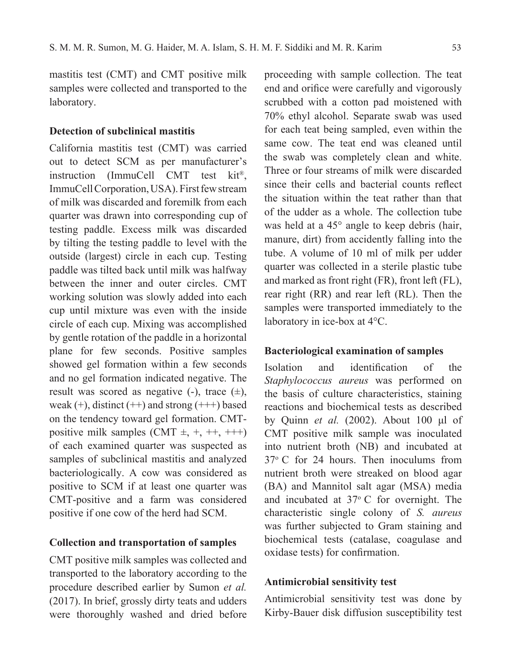mastitis test (CMT) and CMT positive milk samples were collected and transported to the laboratory.

## **Detection of subclinical mastitis**

California mastitis test (CMT) was carried out to detect SCM as per manufacturer's instruction (ImmuCell CMT test kit®, ImmuCell Corporation, USA). First few stream of milk was discarded and foremilk from each quarter was drawn into corresponding cup of testing paddle. Excess milk was discarded by tilting the testing paddle to level with the outside (largest) circle in each cup. Testing paddle was tilted back until milk was halfway between the inner and outer circles. CMT working solution was slowly added into each cup until mixture was even with the inside circle of each cup. Mixing was accomplished by gentle rotation of the paddle in a horizontal plane for few seconds. Positive samples showed gel formation within a few seconds and no gel formation indicated negative. The result was scored as negative  $(-)$ , trace  $(\pm)$ , weak  $(+)$ , distinct  $(++)$  and strong  $(++)$  based on the tendency toward gel formation. CMTpositive milk samples  $(CMT \pm, +, ++, ++)$ of each examined quarter was suspected as samples of subclinical mastitis and analyzed bacteriologically. A cow was considered as positive to SCM if at least one quarter was CMT-positive and a farm was considered positive if one cow of the herd had SCM.

## **Collection and transportation of samples**

CMT positive milk samples was collected and transported to the laboratory according to the procedure described earlier by Sumon *et al.* (2017). In brief, grossly dirty teats and udders were thoroughly washed and dried before

proceeding with sample collection. The teat end and orifice were carefully and vigorously scrubbed with a cotton pad moistened with 70% ethyl alcohol. Separate swab was used for each teat being sampled, even within the same cow. The teat end was cleaned until the swab was completely clean and white. Three or four streams of milk were discarded since their cells and bacterial counts reflect the situation within the teat rather than that of the udder as a whole. The collection tube was held at a 45° angle to keep debris (hair, manure, dirt) from accidently falling into the tube. A volume of 10 ml of milk per udder quarter was collected in a sterile plastic tube and marked as front right (FR), front left (FL), rear right (RR) and rear left (RL). Then the samples were transported immediately to the laboratory in ice-box at 4°C.

## **Bacteriological examination of samples**

Isolation and identification of the *Staphylococcus aureus* was performed on the basis of culture characteristics, staining reactions and biochemical tests as described by Quinn *et al.* (2002). About 100 μl of CMT positive milk sample was inoculated into nutrient broth (NB) and incubated at  $37^{\circ}$  C for 24 hours. Then inoculums from nutrient broth were streaked on blood agar (BA) and Mannitol salt agar (MSA) media and incubated at  $37^{\circ}$  C for overnight. The characteristic single colony of *S. aureus* was further subjected to Gram staining and biochemical tests (catalase, coagulase and oxidase tests) for confirmation.

#### **Antimicrobial sensitivity test**

Antimicrobial sensitivity test was done by Kirby-Bauer disk diffusion susceptibility test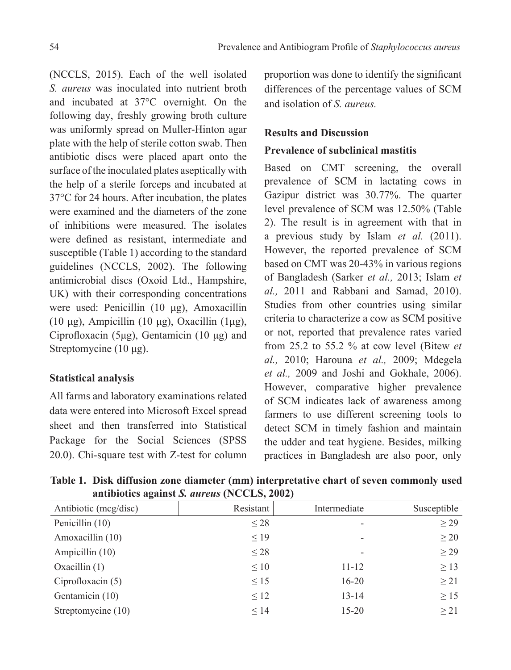(NCCLS, 2015). Each of the well isolated *S. aureus* was inoculated into nutrient broth and incubated at 37°C overnight. On the following day, freshly growing broth culture was uniformly spread on Muller-Hinton agar plate with the help of sterile cotton swab. Then antibiotic discs were placed apart onto the surface of the inoculated plates aseptically with the help of a sterile forceps and incubated at 37°C for 24 hours. After incubation, the plates were examined and the diameters of the zone of inhibitions were measured. The isolates were defined as resistant, intermediate and susceptible (Table 1) according to the standard guidelines (NCCLS, 2002). The following antimicrobial discs (Oxoid Ltd., Hampshire, UK) with their corresponding concentrations were used: Penicillin (10 μg), Amoxacillin (10 μg), Ampicillin (10 μg), Oxacillin (1μg), Ciprofloxacin (5μg), Gentamicin (10 μg) and Streptomycine (10 μg).

## **Statistical analysis**

All farms and laboratory examinations related data were entered into Microsoft Excel spread sheet and then transferred into Statistical Package for the Social Sciences (SPSS 20.0). Chi-square test with Z-test for column proportion was done to identify the significant differences of the percentage values of SCM and isolation of *S. aureus.*

# **Results and Discussion**

#### **Prevalence of subclinical mastitis**

Based on CMT screening, the overall prevalence of SCM in lactating cows in Gazipur district was 30.77%. The quarter level prevalence of SCM was 12.50% (Table 2). The result is in agreement with that in a previous study by Islam *et al.* (2011). However, the reported prevalence of SCM based on CMT was 20-43% in various regions of Bangladesh (Sarker *et al.,* 2013; Islam *et al.,* 2011 and Rabbani and Samad, 2010). Studies from other countries using similar criteria to characterize a cow as SCM positive or not, reported that prevalence rates varied from 25.2 to 55.2 % at cow level (Bitew *et al.,* 2010; Harouna *et al.,* 2009; Mdegela *et al.,* 2009 and Joshi and Gokhale, 2006). However, comparative higher prevalence of SCM indicates lack of awareness among farmers to use different screening tools to detect SCM in timely fashion and maintain the udder and teat hygiene. Besides, milking practices in Bangladesh are also poor, only

| Antibiotic (mcg/disc) | Resistant | Intermediate             | Susceptible |
|-----------------------|-----------|--------------------------|-------------|
| Penicillin (10)       | $\leq$ 28 |                          | >29         |
| Amoxacillin (10)      | $\leq$ 19 | $\overline{\phantom{a}}$ | >20         |
| Ampicillin (10)       | $\leq$ 28 | $\overline{\phantom{a}}$ | $\geq$ 29   |
| Oxacillin $(1)$       | $\leq 10$ | $11 - 12$                | $\geq$ 13   |
| Ciprofloxacin $(5)$   | $\leq$ 15 | $16 - 20$                | >21         |
| Gentamicin (10)       | $\leq 12$ | $13 - 14$                | $\geq$ 15   |
| Streptomycine (10)    | $\leq$ 14 | $15 - 20$                | >21         |

**Table 1. Disk diffusion zone diameter (mm) interpretative chart of seven commonly used antibiotics against** *S. aureus* **(NCCLS, 2002)**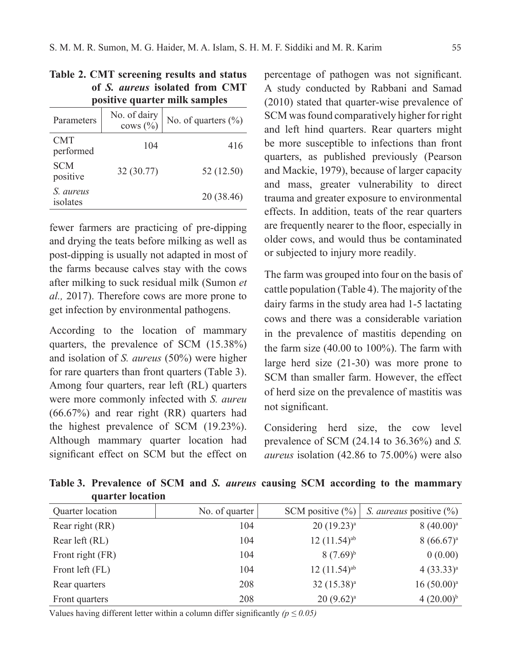| positive quarter milk samples |                              |                     |  |  |  |
|-------------------------------|------------------------------|---------------------|--|--|--|
| Parameters                    | No. of dairy<br>cows $(\% )$ | No. of quarters (%) |  |  |  |
| <b>CMT</b><br>performed       | 104                          | 416                 |  |  |  |
| <b>SCM</b><br>positive        | 32 (30.77)                   | 52 (12.50)          |  |  |  |
| S. aureus<br>isolates         |                              | 20 (38.46)          |  |  |  |

|  |  | Table 2. CMT screening results and status |  |  |
|--|--|-------------------------------------------|--|--|
|  |  | of S. aureus isolated from CMT            |  |  |
|  |  | nositivo quartor mille samples            |  |  |

fewer farmers are practicing of pre-dipping and drying the teats before milking as well as post-dipping is usually not adapted in most of the farms because calves stay with the cows after milking to suck residual milk (Sumon *et al.,* 2017). Therefore cows are more prone to get infection by environmental pathogens.

According to the location of mammary quarters, the prevalence of SCM (15.38%) and isolation of *S. aureus* (50%) were higher for rare quarters than front quarters (Table 3). Among four quarters, rear left (RL) quarters were more commonly infected with *S. aureu* (66.67%) and rear right (RR) quarters had the highest prevalence of SCM (19.23%). Although mammary quarter location had significant effect on SCM but the effect on

percentage of pathogen was not significant. A study conducted by Rabbani and Samad (2010) stated that quarter-wise prevalence of SCM was found comparatively higher for right and left hind quarters. Rear quarters might be more susceptible to infections than front quarters, as published previously (Pearson and Mackie, 1979), because of larger capacity and mass, greater vulnerability to direct trauma and greater exposure to environmental effects. In addition, teats of the rear quarters are frequently nearer to the floor, especially in older cows, and would thus be contaminated or subjected to injury more readily.

The farm was grouped into four on the basis of cattle population (Table 4). The majority of the dairy farms in the study area had 1-5 lactating cows and there was a considerable variation in the prevalence of mastitis depending on the farm size (40.00 to 100%). The farm with large herd size (21-30) was more prone to SCM than smaller farm. However, the effect of herd size on the prevalence of mastitis was not significant.

Considering herd size, the cow level prevalence of SCM (24.14 to 36.36%) and *S. aureus* isolation (42.86 to 75.00%) were also

**Table 3. Prevalence of SCM and** *S. aureus* **causing SCM according to the mammary quarter location**

| Quarter location | No. of quarter | SCM positive $(\% )$      | <i>S. aureaus</i> positive $\left(\frac{9}{6}\right)$ |
|------------------|----------------|---------------------------|-------------------------------------------------------|
| Rear right (RR)  | 104            | $20(19.23)^a$             | $8(40.00)^a$                                          |
| Rear left (RL)   | 104            | $12(11.54)$ <sup>ab</sup> | $8(66.67)^a$                                          |
| Front right (FR) | 104            | $(7.69)^{b}$              | 0(0.00)                                               |
| Front left (FL)  | 104            | $12(11.54)$ <sup>ab</sup> | $4(33.33)^{a}$                                        |
| Rear quarters    | 208            | 32 (15.38) <sup>a</sup>   | $16(50.00)^a$                                         |
| Front quarters   | 208            | $20 (9.62)^a$             | $4(20.00)^{b}$                                        |

Values having different letter within a column differ significantly  $(p \le 0.05)$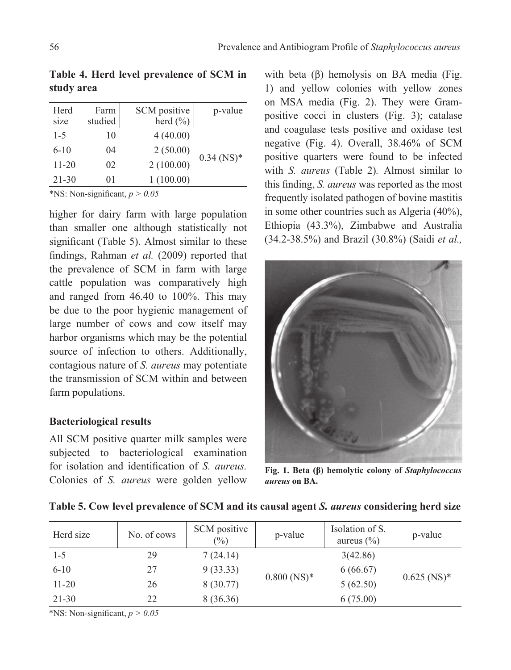| Herd<br>size | Farm<br>studied | SCM positive<br>herd $(\% )$ | p-value      |
|--------------|-----------------|------------------------------|--------------|
|              |                 |                              |              |
| $1 - 5$      | 10              | 4(40.00)                     |              |
| $6-10$       | 04              | 2(50.00)                     | $0.34$ (NS)* |
| $11 - 20$    | 02              | 2(100.00)                    |              |
| $21 - 30$    | 01              | 1(100.00)                    |              |
|              |                 |                              |              |

**Table 4. Herd level prevalence of SCM in study area**

\*NS: Non-significant,  $p > 0.05$ 

higher for dairy farm with large population than smaller one although statistically not significant (Table 5). Almost similar to these findings, Rahman *et al.* (2009) reported that the prevalence of SCM in farm with large cattle population was comparatively high and ranged from 46.40 to 100%. This may be due to the poor hygienic management of large number of cows and cow itself may harbor organisms which may be the potential source of infection to others. Additionally, contagious nature of *S. aureus* may potentiate the transmission of SCM within and between farm populations.

## **Bacteriological results**

All SCM positive quarter milk samples were subjected to bacteriological examination for isolation and identification of *S. aureus.* Colonies of *S. aureus* were golden yellow

with beta (β) hemolysis on BA media (Fig. 1) and yellow colonies with yellow zones on MSA media (Fig. 2). They were Grampositive cocci in clusters (Fig. 3); catalase and coagulase tests positive and oxidase test negative (Fig. 4). Overall, 38.46% of SCM positive quarters were found to be infected with *S. aureus* (Table 2)*.* Almost similar to this finding, *S. aureus* was reported as the most frequently isolated pathogen of bovine mastitis in some other countries such as Algeria (40%), Ethiopia (43.3%), Zimbabwe and Australia (34.2-38.5%) and Brazil (30.8%) (Saidi *et al.,*



**Fig. 1. Beta (β) hemolytic colony of** *Staphylococcus aureus* **on BA.**

| Herd size | No. of cows | SCM positive<br>$(\% )$ | p-value                   | Isolation of S.<br>aureus $(\% )$ | p-value                   |
|-----------|-------------|-------------------------|---------------------------|-----------------------------------|---------------------------|
| $1-5$     | 29          | 7(24.14)                |                           | 3(42.86)                          |                           |
| $6 - 10$  | 27          | 9(33.33)                | $0.800$ (NS) <sup>*</sup> | 6(66.67)                          | $0.625$ (NS) <sup>*</sup> |
| $11 - 20$ | 26          | 8(30.77)                |                           | 5(62.50)                          |                           |
| $21 - 30$ | 22          | 8 (36.36)               |                           | 6(75.00)                          |                           |

**Table 5. Cow level prevalence of SCM and its causal agent** *S. aureus* **considering herd size**

\*NS: Non-significant,  $p > 0.05$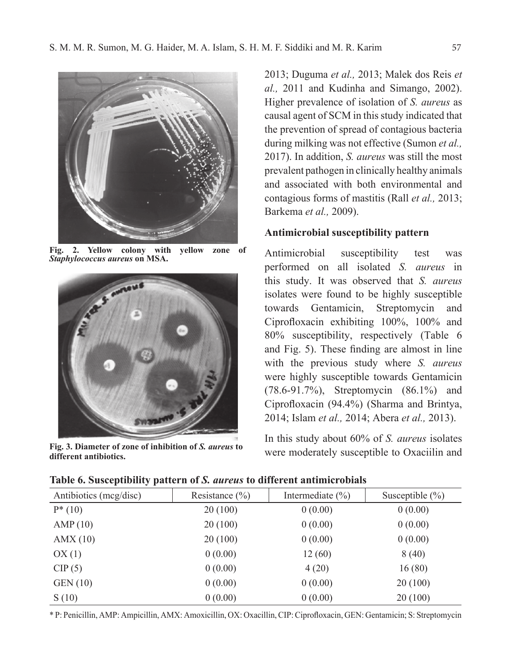

**Fig. 2. Yellow colony with yellow zone of**  *Staphylococcus aureus* **on MSA.**



**Fig. 3. Diameter of zone of inhibition of** *S. aureus* **to different antibiotics.**

2013; Duguma *et al.,* 2013; Malek dos Reis *et al.,* 2011 and Kudinha and Simango, 2002). Higher prevalence of isolation of *S. aureus* as causal agent of SCM in this study indicated that the prevention of spread of contagious bacteria during milking was not effective (Sumon *et al.,* 2017). In addition, *S. aureus* was still the most prevalent pathogen in clinically healthy animals and associated with both environmental and contagious forms of mastitis (Rall *et al.,* 2013; Barkema *et al.,* 2009).

## **Antimicrobial susceptibility pattern**

Antimicrobial susceptibility test was performed on all isolated *S. aureus* in this study. It was observed that *S. aureus* isolates were found to be highly susceptible towards Gentamicin, Streptomycin and Ciprofloxacin exhibiting 100%, 100% and 80% susceptibility, respectively (Table 6 and Fig. 5). These finding are almost in line with the previous study where *S. aureus* were highly susceptible towards Gentamicin (78.6-91.7%), Streptomycin (86.1%) and Ciprofloxacin (94.4%) (Sharma and Brintya, 2014; Islam *et al.,* 2014; Abera *et al.,* 2013).

In this study about 60% of *S. aureus* isolates were moderately susceptible to Oxaciilin and

| Antibiotics (mcg/disc) | Resistance $(\% )$ | Intermediate $(\% )$ | Susceptible $(\% )$ |
|------------------------|--------------------|----------------------|---------------------|
| $P^*(10)$              | 20(100)            | 0(0.00)              | 0(0.00)             |
| AMP(10)                | 20(100)            | 0(0.00)              | 0(0.00)             |
| AMX(10)                | 20(100)            | 0(0.00)              | 0(0.00)             |
| OX(1)                  | 0(0.00)            | 12(60)               | 8(40)               |
| CIP(5)                 | 0(0.00)            | 4(20)                | 16(80)              |
| <b>GEN</b> (10)        | 0(0.00)            | 0(0.00)              | 20(100)             |
| S(10)                  | 0(0.00)            | 0(0.00)              | 20(100)             |

**Table 6. Susceptibility pattern of** *S. aureus* **to different antimicrobials**

\* P: Penicillin, AMP: Ampicillin, AMX: Amoxicillin, OX: Oxacillin, CIP: Ciprofloxacin, GEN: Gentamicin; S: Streptomycin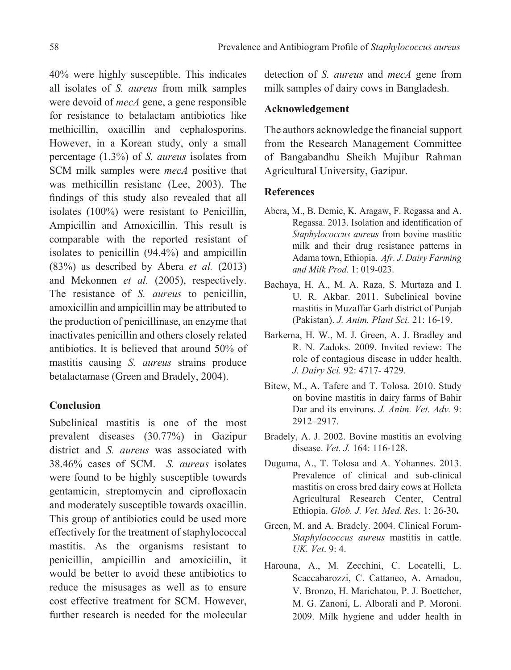40% were highly susceptible. This indicates all isolates of *S. aureus* from milk samples were devoid of *mecA* gene, a gene responsible for resistance to betalactam antibiotics like methicillin, oxacillin and cephalosporins. However, in a Korean study, only a small percentage (1.3%) of *S. aureus* isolates from SCM milk samples were *mecA* positive that was methicillin resistanc (Lee, 2003). The findings of this study also revealed that all isolates (100%) were resistant to Penicillin, Ampicillin and Amoxicillin. This result is comparable with the reported resistant of isolates to penicillin (94.4%) and ampicillin (83%) as described by Abera *et al.* (2013) and Mekonnen *et al.* (2005), respectively. The resistance of *S. aureus* to penicillin, amoxicillin and ampicillin may be attributed to the production of penicillinase, an enzyme that inactivates penicillin and others closely related antibiotics. It is believed that around 50% of mastitis causing *S. aureus* strains produce betalactamase (Green and Bradely, 2004).

# **Conclusion**

Subclinical mastitis is one of the most prevalent diseases (30.77%) in Gazipur district and *S. aureus* was associated with 38.46% cases of SCM. *S. aureus* isolates were found to be highly susceptible towards gentamicin, streptomycin and ciprofloxacin and moderately susceptible towards oxacillin. This group of antibiotics could be used more effectively for the treatment of staphylococcal mastitis. As the organisms resistant to penicillin, ampicillin and amoxiciilin, it would be better to avoid these antibiotics to reduce the misusages as well as to ensure cost effective treatment for SCM. However, further research is needed for the molecular

detection of *S. aureus* and *mecA* gene from milk samples of dairy cows in Bangladesh.

# **Acknowledgement**

The authors acknowledge the financial support from the Research Management Committee of Bangabandhu Sheikh Mujibur Rahman Agricultural University, Gazipur.

#### **References**

- Abera, M., B. Demie, K. Aragaw, F. Regassa and A. Regassa. 2013. Isolation and identification of *Staphylococcus aureus* from bovine mastitic milk and their drug resistance patterns in Adama town, Ethiopia. *Afr. J. Dairy Farming and Milk Prod.* 1: 019-023.
- Bachaya, H. A., M. A. Raza, S. Murtaza and I. U. R. Akbar. 2011. Subclinical bovine mastitis in Muzaffar Garh district of Punjab (Pakistan). *J. Anim. Plant Sci.* 21: 16-19.
- Barkema, H. W., M. J. Green, A. J. Bradley and R. N. Zadoks. 2009. Invited review: The role of contagious disease in udder health. *J. Dairy Sci.* 92: 4717- 4729.
- Bitew, M., A. Tafere and T. Tolosa. 2010. Study on bovine mastitis in dairy farms of Bahir Dar and its environs. *J. Anim. Vet. Adv.* 9: 2912–2917.
- Bradely, A. J. 2002. Bovine mastitis an evolving disease. *Vet. J.* 164: 116-128.
- Duguma, A., T. Tolosa and A. Yohannes. 2013. Prevalence of clinical and sub-clinical mastitis on cross bred dairy cows at Holleta Agricultural Research Center, Central Ethiopia. *Glob. J. Vet. Med. Res.* 1: 26-30**.**
- Green, M. and A. Bradely. 2004. Clinical Forum-*Staphylococcus aureus* mastitis in cattle. *UK. Vet*. 9: 4.
- Harouna, A., M. Zecchini, C. Locatelli, L. Scaccabarozzi, C. Cattaneo, A. Amadou, V. Bronzo, H. Marichatou, P. J. Boettcher, M. G. Zanoni, L. Alborali and P. Moroni. 2009. Milk hygiene and udder health in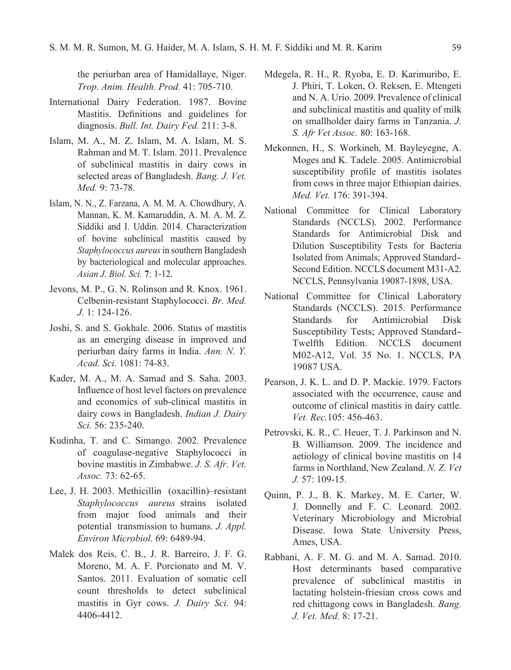the periurban area of Hamidallaye, Niger. *Trop. Anim. Health. Prod.* 41: 705-710.

- International Dairy Federation. 1987. Bovine Mastitis. Definitions and guidelines for diagnosis. *Bull. Int. Dairy Fed.* 211: 3-8.
- Islam, M. A., M. Z. Islam, M. A. Islam, M. S. Rahman and M. T. Islam. 2011. Prevalence of subclinical mastitis in dairy cows in selected areas of Bangladesh. *Bang. J. Vet. Med.* 9: 73-78.
- Islam, N. N., Z. Farzana, A. M. M. A. Chowdhury, A. Mannan, K. M. Kamaruddin, A. M. A. M. Z. Siddiki and I. Uddin. 2014. Characterization of bovine subclinical mastitis caused by *Staphylococcus aureus* in southern Bangladesh by bacteriological and molecular approaches. *Asian J. Biol. Sci.* **7**: 1-12.
- Jevons, M. P., G. N. Rolinson and R. Knox. 1961. Celbenin-resistant Staphylococci. *Br. Med. J.* 1: 124-126.
- Joshi, S. and S. Gokhale. 2006. Status of mastitis as an emerging disease in improved and periurban dairy farms in India. *Ann. N. Y. Acad. Sci.* 1081: 74-83.
- Kader, M. A., M. A. Samad and S. Saha. 2003. Influence of host level factors on prevalence and economics of sub-clinical mastitis in dairy cows in Bangladesh. *Indian J. Dairy Sci.* 56: 235-240.
- Kudinha, T. and C. Simango. 2002. Prevalence of coagulase-negative Staphylococci in bovine mastitis in Zimbabwe. *J. S. Afr. Vet. Assoc.* 73: 62-65.
- Lee, J. H. 2003. Methicillin (oxacillin)–resistant *Staphylococcus aureus* strains isolated from major food animals and their potential transmission to humans. *J. Appl. Environ Microbiol.* 69: 6489-94.
- Malek dos Reis, C. B., J. R. Barreiro, J. F. G. Moreno, M. A. F. Porcionato and M. V. Santos. 2011. Evaluation of somatic cell count thresholds to detect subclinical mastitis in Gyr cows. *J. Dairy Sci.* 94: 4406-4412.
- Mdegela, R. H., R. Ryoba, E. D. Karimuribo, E. J. Phiri, T. Loken, O. Reksen, E. Mtengeti and N. A. Urio. 2009. Prevalence of clinical and subclinical mastitis and quality of milk on smallholder dairy farms in Tanzania. *J. S. Afr Vet Assoc.* 80: 163-168.
- Mekonnen, H., S. Workineh, M. Bayleyegne, A. Moges and K. Tadele. 2005. Antimicrobial susceptibility profile of mastitis isolates from cows in three major Ethiopian dairies. *Med. Vet.* 176: 391-394.
- National Committee for Clinical Laboratory Standards (NCCLS). 2002. Performance Standards for Antimicrobial Disk and Dilution Susceptibility Tests for Bacteria Isolated from Animals; Approved Standard-Second Edition. NCCLS document M31-A2. NCCLS, Pennsylvania 19087-1898, USA.
- National Committee for Clinical Laboratory Standards (NCCLS). 2015. Performance Standards for Antimicrobial Disk Susceptibility Tests; Approved Standard-Twelfth Edition. NCCLS document M02-A12, Vol. 35 No. 1. NCCLS, PA 19087 USA.
- Pearson, J. K. L. and D. P. Mackie. 1979. Factors associated with the occurrence, cause and outcome of clinical mastitis in dairy cattle. *Vet. Rec.*105: 456-463.
- Petrovski, K. R., C. Heuer, T. J. Parkinson and N. B. Williamson. 2009. The incidence and aetiology of clinical bovine mastitis on 14 farms in Northland, New Zealand. *N. Z. Vet J.* 57: 109-15.
- Quinn, P. J., B. K. Markey, M. E. Carter, W. J. Donnelly and F. C. Leonard. 2002. Veterinary Microbiology and Microbial Disease. Iowa State University Press, Ames, USA.
- Rabbani, A. F. M. G. and M. A. Samad. 2010. Host determinants based comparative prevalence of subclinical mastitis in lactating holstein-friesian cross cows and red chittagong cows in Bangladesh. *Bang. J. Vet. Med.* 8: 17-21.